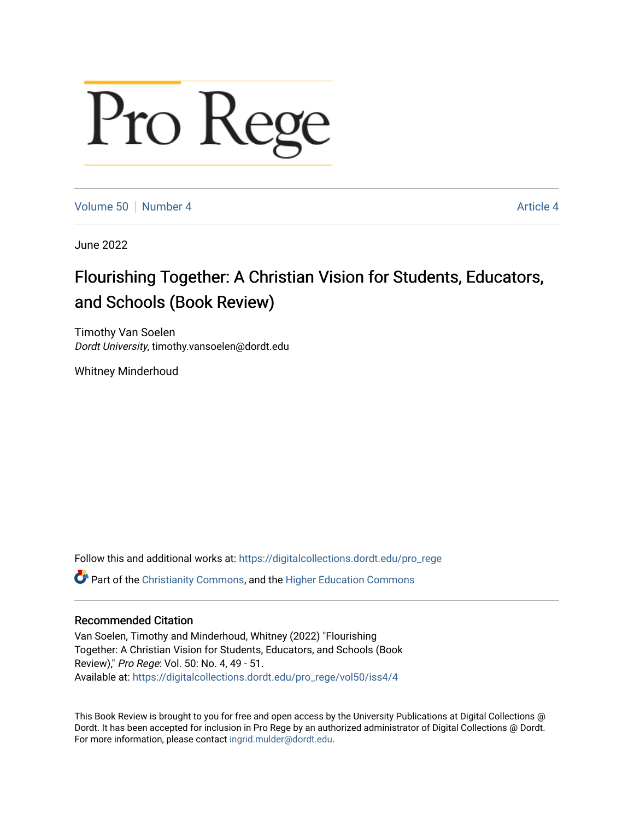## Pro Rege

[Volume 50](https://digitalcollections.dordt.edu/pro_rege/vol50) [Number 4](https://digitalcollections.dordt.edu/pro_rege/vol50/iss4) Article 4

June 2022

## Flourishing Together: A Christian Vision for Students, Educators, and Schools (Book Review)

Timothy Van Soelen Dordt University, timothy.vansoelen@dordt.edu

Whitney Minderhoud

Follow this and additional works at: [https://digitalcollections.dordt.edu/pro\\_rege](https://digitalcollections.dordt.edu/pro_rege?utm_source=digitalcollections.dordt.edu%2Fpro_rege%2Fvol50%2Fiss4%2F4&utm_medium=PDF&utm_campaign=PDFCoverPages) 

Part of the [Christianity Commons,](https://network.bepress.com/hgg/discipline/1181?utm_source=digitalcollections.dordt.edu%2Fpro_rege%2Fvol50%2Fiss4%2F4&utm_medium=PDF&utm_campaign=PDFCoverPages) and the [Higher Education Commons](https://network.bepress.com/hgg/discipline/1245?utm_source=digitalcollections.dordt.edu%2Fpro_rege%2Fvol50%2Fiss4%2F4&utm_medium=PDF&utm_campaign=PDFCoverPages) 

## Recommended Citation

Van Soelen, Timothy and Minderhoud, Whitney (2022) "Flourishing Together: A Christian Vision for Students, Educators, and Schools (Book Review)," Pro Rege: Vol. 50: No. 4, 49 - 51. Available at: [https://digitalcollections.dordt.edu/pro\\_rege/vol50/iss4/4](https://digitalcollections.dordt.edu/pro_rege/vol50/iss4/4?utm_source=digitalcollections.dordt.edu%2Fpro_rege%2Fvol50%2Fiss4%2F4&utm_medium=PDF&utm_campaign=PDFCoverPages) 

This Book Review is brought to you for free and open access by the University Publications at Digital Collections @ Dordt. It has been accepted for inclusion in Pro Rege by an authorized administrator of Digital Collections @ Dordt. For more information, please contact [ingrid.mulder@dordt.edu](mailto:ingrid.mulder@dordt.edu).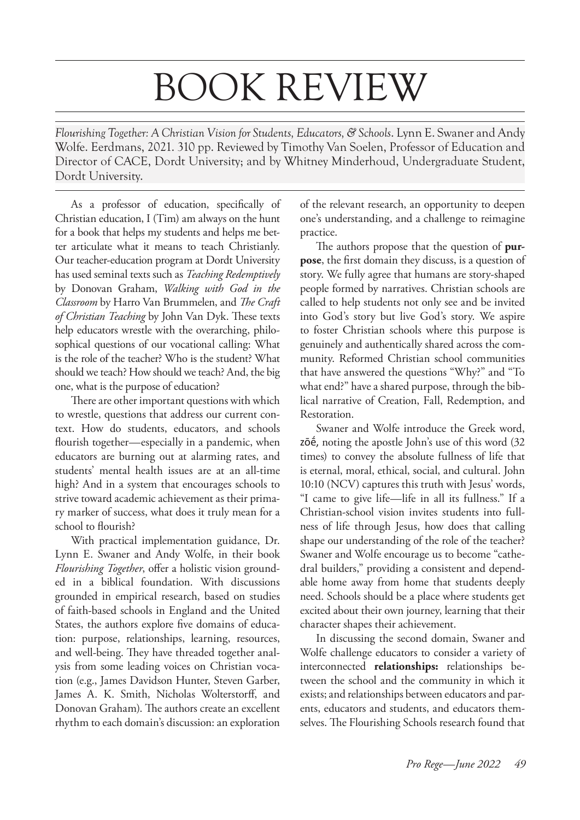## BOOK REVIEW

*Flourishing Together: A Christian Vision for Students, Educators, & Schools*. Lynn E. Swaner and Andy Wolfe. Eerdmans, 2021. 310 pp. Reviewed by Timothy Van Soelen, Professor of Education and Director of CACE, Dordt University; and by Whitney Minderhoud, Undergraduate Student, Dordt University.

As a professor of education, specifically of Christian education, I (Tim) am always on the hunt for a book that helps my students and helps me better articulate what it means to teach Christianly. Our teacher-education program at Dordt University has used seminal texts such as *Teaching Redemptively*  by Donovan Graham, *Walking with God in the Classroom* by Harro Van Brummelen, and *The Craft of Christian Teaching* by John Van Dyk. These texts help educators wrestle with the overarching, philosophical questions of our vocational calling: What is the role of the teacher? Who is the student? What should we teach? How should we teach? And, the big one, what is the purpose of education?

There are other important questions with which to wrestle, questions that address our current context. How do students, educators, and schools flourish together—especially in a pandemic, when educators are burning out at alarming rates, and students' mental health issues are at an all-time high? And in a system that encourages schools to strive toward academic achievement as their primary marker of success, what does it truly mean for a school to flourish?

With practical implementation guidance, Dr. Lynn E. Swaner and Andy Wolfe, in their book *Flourishing Together*, offer a holistic vision grounded in a biblical foundation. With discussions grounded in empirical research, based on studies of faith-based schools in England and the United States, the authors explore five domains of education: purpose, relationships, learning, resources, and well-being. They have threaded together analysis from some leading voices on Christian vocation (e.g., James Davidson Hunter, Steven Garber, James A. K. Smith, Nicholas Wolterstorff, and Donovan Graham). The authors create an excellent rhythm to each domain's discussion: an exploration of the relevant research, an opportunity to deepen one's understanding, and a challenge to reimagine practice.

The authors propose that the question of **purpose**, the first domain they discuss, is a question of story. We fully agree that humans are story-shaped people formed by narratives. Christian schools are called to help students not only see and be invited into God's story but live God's story. We aspire to foster Christian schools where this purpose is genuinely and authentically shared across the community. Reformed Christian school communities that have answered the questions "Why?" and "To what end?" have a shared purpose, through the biblical narrative of Creation, Fall, Redemption, and Restoration.

Swaner and Wolfe introduce the Greek word, zōḗ, noting the apostle John's use of this word (32 times) to convey the absolute fullness of life that is eternal, moral, ethical, social, and cultural. John 10:10 (NCV) captures this truth with Jesus' words, "I came to give life—life in all its fullness." If a Christian-school vision invites students into fullness of life through Jesus, how does that calling shape our understanding of the role of the teacher? Swaner and Wolfe encourage us to become "cathedral builders," providing a consistent and dependable home away from home that students deeply need. Schools should be a place where students get excited about their own journey, learning that their character shapes their achievement.

In discussing the second domain, Swaner and Wolfe challenge educators to consider a variety of interconnected **relationships:** relationships between the school and the community in which it exists; and relationships between educators and parents, educators and students, and educators themselves. The Flourishing Schools research found that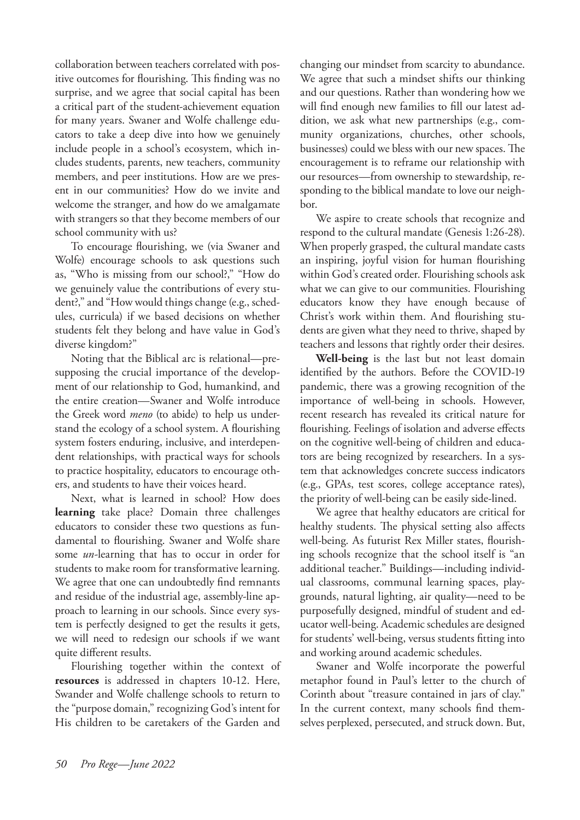collaboration between teachers correlated with positive outcomes for flourishing. This finding was no surprise, and we agree that social capital has been a critical part of the student-achievement equation for many years. Swaner and Wolfe challenge educators to take a deep dive into how we genuinely include people in a school's ecosystem, which includes students, parents, new teachers, community members, and peer institutions. How are we present in our communities? How do we invite and welcome the stranger, and how do we amalgamate with strangers so that they become members of our school community with us?

To encourage flourishing, we (via Swaner and Wolfe) encourage schools to ask questions such as, "Who is missing from our school?," "How do we genuinely value the contributions of every student?," and "How would things change (e.g., schedules, curricula) if we based decisions on whether students felt they belong and have value in God's diverse kingdom?"

Noting that the Biblical arc is relational—presupposing the crucial importance of the development of our relationship to God, humankind, and the entire creation—Swaner and Wolfe introduce the Greek word *meno* (to abide) to help us understand the ecology of a school system. A flourishing system fosters enduring, inclusive, and interdependent relationships, with practical ways for schools to practice hospitality, educators to encourage others, and students to have their voices heard.

Next, what is learned in school? How does **learning** take place? Domain three challenges educators to consider these two questions as fundamental to flourishing. Swaner and Wolfe share some *un-*learning that has to occur in order for students to make room for transformative learning. We agree that one can undoubtedly find remnants and residue of the industrial age, assembly-line approach to learning in our schools. Since every system is perfectly designed to get the results it gets, we will need to redesign our schools if we want quite different results.

Flourishing together within the context of **resources** is addressed in chapters 10-12. Here, Swander and Wolfe challenge schools to return to the "purpose domain," recognizing God's intent for His children to be caretakers of the Garden and

changing our mindset from scarcity to abundance. We agree that such a mindset shifts our thinking and our questions. Rather than wondering how we will find enough new families to fill our latest addition, we ask what new partnerships (e.g., community organizations, churches, other schools, businesses) could we bless with our new spaces. The encouragement is to reframe our relationship with our resources—from ownership to stewardship, responding to the biblical mandate to love our neighbor.

We aspire to create schools that recognize and respond to the cultural mandate (Genesis 1:26-28). When properly grasped, the cultural mandate casts an inspiring, joyful vision for human flourishing within God's created order. Flourishing schools ask what we can give to our communities. Flourishing educators know they have enough because of Christ's work within them. And flourishing students are given what they need to thrive, shaped by teachers and lessons that rightly order their desires.

**Well-being** is the last but not least domain identified by the authors. Before the COVID-19 pandemic, there was a growing recognition of the importance of well-being in schools. However, recent research has revealed its critical nature for flourishing. Feelings of isolation and adverse effects on the cognitive well-being of children and educators are being recognized by researchers. In a system that acknowledges concrete success indicators (e.g., GPAs, test scores, college acceptance rates), the priority of well-being can be easily side-lined.

We agree that healthy educators are critical for healthy students. The physical setting also affects well-being. As futurist Rex Miller states, flourishing schools recognize that the school itself is "an additional teacher." Buildings—including individual classrooms, communal learning spaces, playgrounds, natural lighting, air quality—need to be purposefully designed, mindful of student and educator well-being. Academic schedules are designed for students' well-being, versus students fitting into and working around academic schedules.

Swaner and Wolfe incorporate the powerful metaphor found in Paul's letter to the church of Corinth about "treasure contained in jars of clay." In the current context, many schools find themselves perplexed, persecuted, and struck down. But,